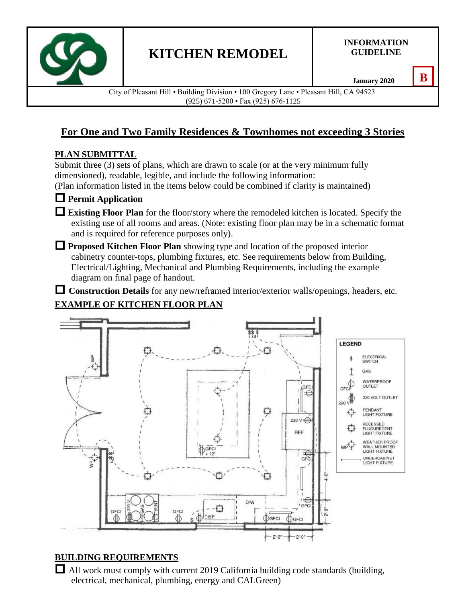

**INFORMATION GUIDELINE**

**January 2020**

**B**

City of Pleasant Hill • Building Division • 100 Gregory Lane • Pleasant Hill, CA 94523 (925) 671-5200 • Fax (925) 676-1125

# **For One and Two Family Residences & Townhomes not exceeding 3 Stories**

### **PLAN SUBMITTAL**

Submit three (3) sets of plans, which are drawn to scale (or at the very minimum fully dimensioned), readable, legible, and include the following information:

(Plan information listed in the items below could be combined if clarity is maintained)



### **Permit Application**

 **Existing Floor Plan** for the floor/story where the remodeled kitchen is located. Specify the existing use of all rooms and areas. (Note: existing floor plan may be in a schematic format and is required for reference purposes only).

 **Proposed Kitchen Floor Plan** showing type and location of the proposed interior cabinetry counter-tops, plumbing fixtures, etc. See requirements below from Building, Electrical/Lighting, Mechanical and Plumbing Requirements, including the example diagram on final page of handout.

 **Construction Details** for any new/reframed interior/exterior walls/openings, headers, etc. **EXAMPLE OF KITCHEN FLOOR PLAN**



### **BUILDING REQUIREMENTS**

 $\Box$  All work must comply with current 2019 California building code standards (building, electrical, mechanical, plumbing, energy and CALGreen)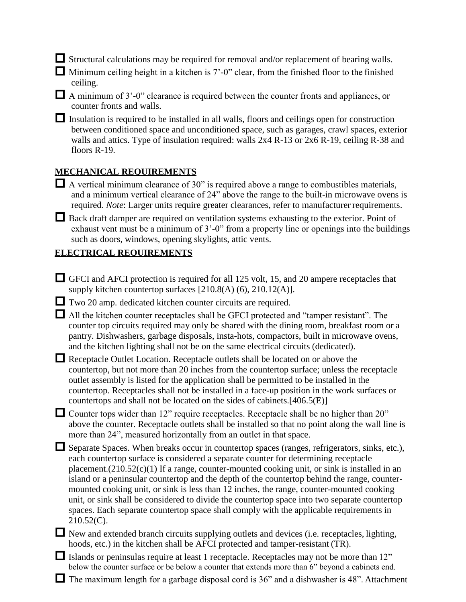$\Box$  Structural calculations may be required for removal and/or replacement of bearing walls.

 $\Box$  Minimum ceiling height in a kitchen is 7'-0" clear, from the finished floor to the finished ceiling.

 $\Box$  A minimum of 3'-0" clearance is required between the counter fronts and appliances, or counter fronts and walls.

 $\Box$  Insulation is required to be installed in all walls, floors and ceilings open for construction between conditioned space and unconditioned space, such as garages, crawl spaces, exterior walls and attics. Type of insulation required: walls 2x4 R-13 or 2x6 R-19, ceiling R-38 and floors R-19.

### **MECHANICAL REQUIREMENTS**

- $\Box$  A vertical minimum clearance of 30" is required above a range to combustibles materials, and a minimum vertical clearance of 24" above the range to the built-in microwave ovens is required. *Note*: Larger units require greater clearances, refer to manufacturer requirements.
- Back draft damper are required on ventilation systems exhausting to the exterior. Point of exhaust vent must be a minimum of 3'-0" from a property line or openings into the buildings such as doors, windows, opening skylights, attic vents.

### **ELECTRICAL REQUIREMENTS**

- GFCI and AFCI protection is required for all 125 volt, 15, and 20 ampere receptacles that supply kitchen countertop surfaces [210.8(A) (6), 210.12(A)].
- Two 20 amp. dedicated kitchen counter circuits are required.

 $\Box$  All the kitchen counter receptacles shall be GFCI protected and "tamper resistant". The counter top circuits required may only be shared with the dining room, breakfast room or a pantry. Dishwashers, garbage disposals, insta-hots, compactors, built in microwave ovens, and the kitchen lighting shall not be on the same electrical circuits (dedicated).

Receptacle Outlet Location. Receptacle outlets shall be located on or above the countertop, but not more than 20 inches from the countertop surface; unless the receptacle outlet assembly is listed for the application shall be permitted to be installed in the countertop. Receptacles shall not be installed in a face-up position in the work surfaces or countertops and shall not be located on the sides of cabinets.[406.5(E)]

 $\Box$  Counter tops wider than 12" require receptacles. Receptacle shall be no higher than 20" above the counter. Receptacle outlets shall be installed so that no point along the wall line is more than 24", measured horizontally from an outlet in that space.

- $\Box$  Separate Spaces. When breaks occur in countertop spaces (ranges, refrigerators, sinks, etc.), each countertop surface is considered a separate counter for determining receptacle placement. $(210.52(c)(1)$  If a range, counter-mounted cooking unit, or sink is installed in an island or a peninsular countertop and the depth of the countertop behind the range, countermounted cooking unit, or sink is less than 12 inches, the range, counter-mounted cooking unit, or sink shall be considered to divide the countertop space into two separate countertop spaces. Each separate countertop space shall comply with the applicable requirements in 210.52(C).
- $\Box$  New and extended branch circuits supplying outlets and devices (i.e. receptacles, lighting, hoods, etc.) in the kitchen shall be AFCI protected and tamper-resistant (TR).

 $\Box$  Islands or peninsulas require at least 1 receptacle. Receptacles may not be more than 12" below the counter surface or be below a counter that extends more than 6" beyond a cabinets end.

 $\Box$  The maximum length for a garbage disposal cord is 36" and a dishwasher is 48". Attachment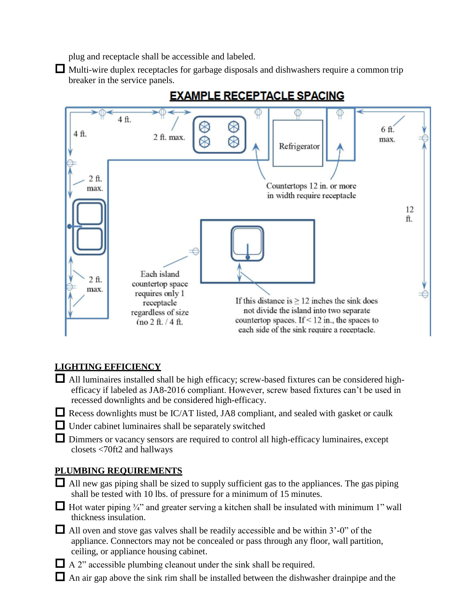plug and receptacle shall be accessible and labeled.

 Multi-wire duplex receptacles for garbage disposals and dishwashers require a common trip breaker in the service panels.



## **EXAMPLE RECEPTACLE SPACING**

### **LIGHTING EFFICIENCY**

- All luminaires installed shall be high efficacy; screw-based fixtures can be considered highefficacy if labeled as JA8-2016 compliant. However, screw based fixtures can't be used in recessed downlights and be considered high-efficacy.
- $\Box$  Recess downlights must be IC/AT listed, JA8 compliant, and sealed with gasket or caulk
- $\Box$  Under cabinet luminaires shall be separately switched
- Dimmers or vacancy sensors are required to control all high-efficacy luminaires, except closets <70ft2 and hallways

### **PLUMBING REQUIREMENTS**

- $\Box$  All new gas piping shall be sized to supply sufficient gas to the appliances. The gas piping shall be tested with 10 lbs. of pressure for a minimum of 15 minutes.
- $\Box$  Hot water piping  $\frac{3}{4}$ " and greater serving a kitchen shall be insulated with minimum 1" wall thickness insulation.
- $\Box$  All oven and stove gas valves shall be readily accessible and be within 3'-0" of the appliance. Connectors may not be concealed or pass through any floor, wall partition, ceiling, or appliance housing cabinet.
- $\Box$  A 2" accessible plumbing cleanout under the sink shall be required.
- An air gap above the sink rim shall be installed between the dishwasher drainpipe and the